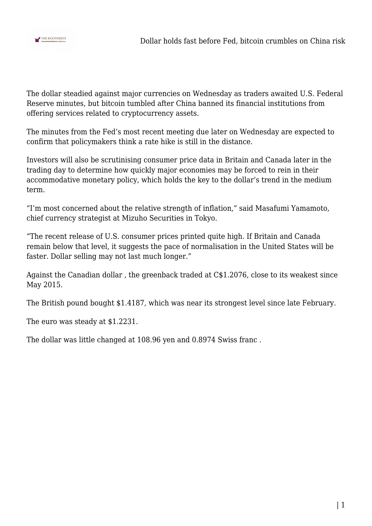

The dollar steadied against major currencies on Wednesday as traders awaited U.S. Federal Reserve minutes, but bitcoin tumbled after China banned its financial institutions from offering services related to cryptocurrency assets.

The minutes from the Fed's most recent meeting due later on Wednesday are expected to confirm that policymakers think a rate hike is still in the distance.

Investors will also be scrutinising consumer price data in Britain and Canada later in the trading day to determine how quickly major economies may be forced to rein in their accommodative monetary policy, which holds the key to the dollar's trend in the medium term.

"I'm most concerned about the relative strength of inflation," said Masafumi Yamamoto, chief currency strategist at Mizuho Securities in Tokyo.

"The recent release of U.S. consumer prices printed quite high. If Britain and Canada remain below that level, it suggests the pace of normalisation in the United States will be faster. Dollar selling may not last much longer."

Against the Canadian dollar , the greenback traded at C\$1.2076, close to its weakest since May 2015.

The British pound bought \$1.4187, which was near its strongest level since late February.

The euro was steady at \$1.2231.

The dollar was little changed at 108.96 yen and 0.8974 Swiss franc .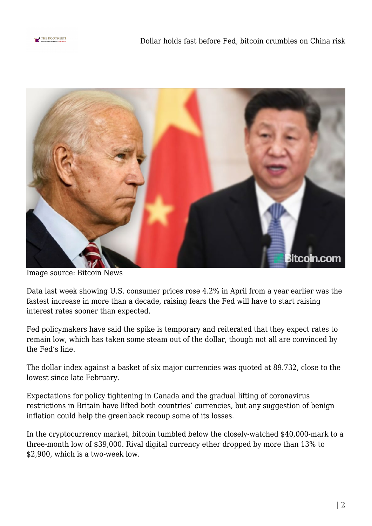



Image source: Bitcoin News

Data last week showing U.S. consumer prices rose 4.2% in April from a year earlier was the fastest increase in more than a decade, raising fears the Fed will have to start raising interest rates sooner than expected.

Fed policymakers have said the spike is temporary and reiterated that they expect rates to remain low, which has taken some steam out of the dollar, though not all are convinced by the Fed's line.

The dollar index against a basket of six major currencies was quoted at 89.732, close to the lowest since late February.

Expectations for policy tightening in Canada and the gradual lifting of coronavirus restrictions in Britain have lifted both countries' currencies, but any suggestion of benign inflation could help the greenback recoup some of its losses.

In the cryptocurrency market, bitcoin tumbled below the closely-watched \$40,000-mark to a three-month low of \$39,000. Rival digital currency ether dropped by more than 13% to \$2,900, which is a two-week low.